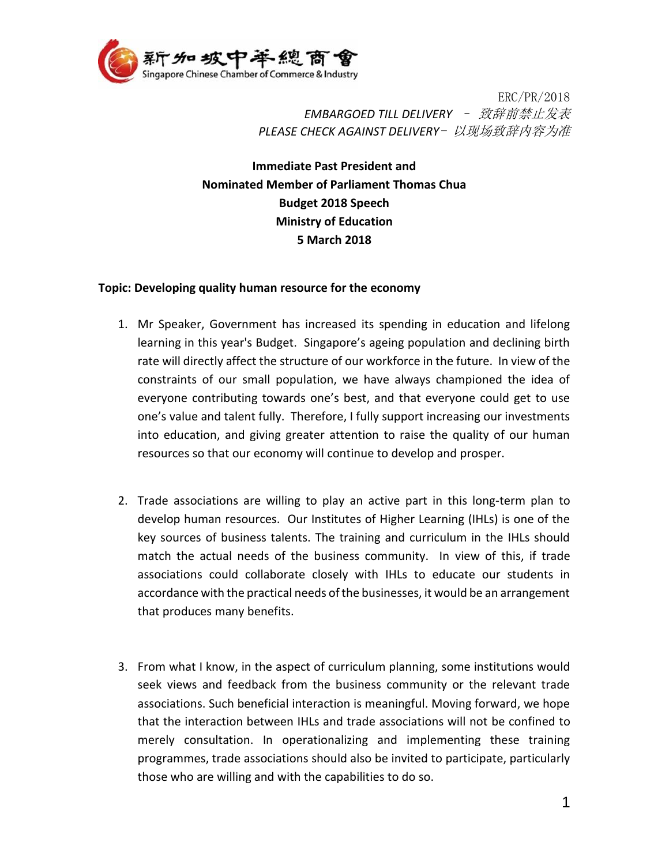

ERC/PR/2018 *EMBARGOED TILL DELIVERY* – 致辞前禁止发表 *PLEASE CHECK AGAINST DELIVERY*- 以现场致辞内容为准

**Immediate Past President and Nominated Member of Parliament Thomas Chua Budget 2018 Speech Ministry of Education 5 March 2018**

## **Topic: Developing quality human resource for the economy**

- 1. Mr Speaker, Government has increased its spending in education and lifelong learning in this year's Budget. Singapore's ageing population and declining birth rate will directly affect the structure of our workforce in the future. In view of the constraints of our small population, we have always championed the idea of everyone contributing towards one's best, and that everyone could get to use one's value and talent fully. Therefore, I fully support increasing our investments into education, and giving greater attention to raise the quality of our human resources so that our economy will continue to develop and prosper.
- 2. Trade associations are willing to play an active part in this long-term plan to develop human resources. Our Institutes of Higher Learning (IHLs) is one of the key sources of business talents. The training and curriculum in the IHLs should match the actual needs of the business community. In view of this, if trade associations could collaborate closely with IHLs to educate our students in accordance with the practical needs of the businesses, it would be an arrangement that produces many benefits.
- 3. From what I know, in the aspect of curriculum planning, some institutions would seek views and feedback from the business community or the relevant trade associations. Such beneficial interaction is meaningful. Moving forward, we hope that the interaction between IHLs and trade associations will not be confined to merely consultation. In operationalizing and implementing these training programmes, trade associations should also be invited to participate, particularly those who are willing and with the capabilities to do so.